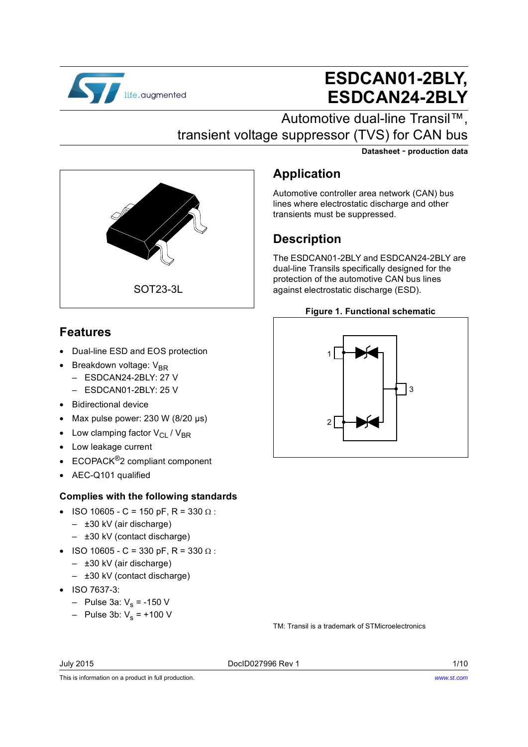

# **ESDCAN01-2BLY, ESDCAN24-2BLY**

**Datasheet** - **production data**

Automotive dual-line Transil™, transient voltage suppressor (TVS) for CAN bus

transients must be suppressed.

**Application**

**Description**



# **Features**

- Dual-line ESD and EOS protection
- Breakdown voltage:  $V_{BR}$ 
	- ESDCAN24-2BLY: 27 V
	- ESDCAN01-2BLY: 25 V
- Bidirectional device
- Max pulse power: 230 W (8/20 µs)
- Low clamping factor  $V_{\text{Cl}}$  /  $V_{\text{BR}}$
- Low leakage current
- ECOPACK®2 compliant component
- AEC-Q101 qualified

#### **Complies with the following standards**

- ISO 10605 C = 150 pF, R = 330  $\Omega$ : – ±30 kV (air discharge)
	- ±30 kV (contact discharge)
- ISO 10605 C = 330 pF, R = 330  $\Omega$ :
	- ±30 kV (air discharge)
	- ±30 kV (contact discharge)
- ISO 7637-3:
	- Pulse 3a:  $V_s$  = -150 V
	- Pulse 3b:  $V_s = +100 V$

TM: Transil is a trademark of STMicroelectronics

July 2015 DocID027996 Rev 1 1/10

This is information on a product in full production.



Automotive controller area network (CAN) bus lines where electrostatic discharge and other

The ESDCAN01-2BLY and ESDCAN24-2BLY are dual-line Transils specifically designed for the protection of the automotive CAN bus lines against electrostatic discharge (ESD).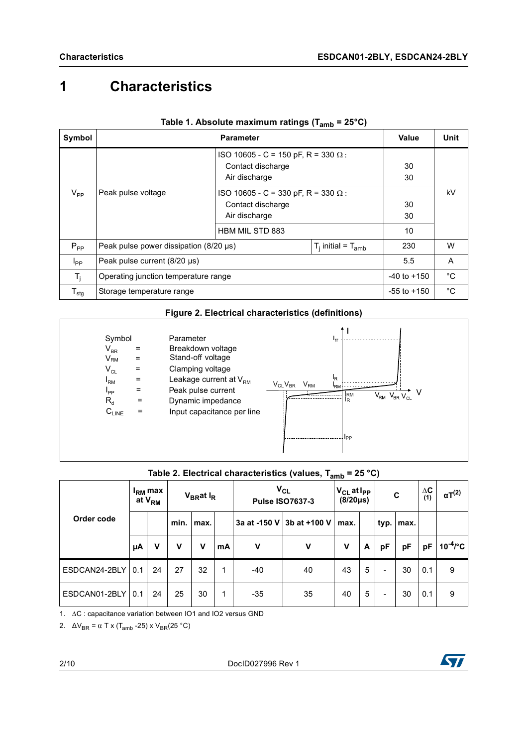# **1 Characteristics**

| Symbol                       |                                               | Value                                                                                                      | Unit           |    |
|------------------------------|-----------------------------------------------|------------------------------------------------------------------------------------------------------------|----------------|----|
|                              |                                               | ISO 10605 - C = 150 pF, R = 330 $\Omega$ :<br>Contact discharge<br>Air discharge                           | 30<br>30       |    |
| $V_{PP}$                     | Peak pulse voltage                            | ISO 10605 - C = 330 pF, R = 330 $\Omega$ :<br>Contact discharge<br>Air discharge<br><b>HBM MIL STD 883</b> | 30<br>30<br>10 | kV |
| $P_{PP}$                     | Peak pulse power dissipation $(8/20 \,\mu s)$ | 230                                                                                                        | W              |    |
| $I_{\mathsf{PP}}$            | Peak pulse current $(8/20 \,\mu s)$           | 5.5                                                                                                        | A              |    |
| T,                           | Operating junction temperature range          | $-40$ to $+150$                                                                                            | °C             |    |
| ${\mathsf T}_{\textsf{stg}}$ | Storage temperature range                     | $-55$ to $+150$                                                                                            | °C             |    |

| Table 1. Absolute maximum ratings (T <sub>amb</sub> = 25°C) |  |
|-------------------------------------------------------------|--|
|-------------------------------------------------------------|--|

#### **Figure 2. Electrical characteristics (definitions)**



### **Table 2. Electrical characteristics (values, Tamb = 25 °C)**

|                     |    | I <sub>RM</sub> max<br>at V <sub>RM</sub> |      | V <sub>BR</sub> at I <sub>R</sub> |    | $V_{CL}$<br><b>Pulse ISO7637-3</b> |                           | $V_{CL}$ at $I_{PP}$<br>$(8/20\mu s)$ |   | $\mathbf c$    |      | $\Delta C$<br>(1) | $\alpha T^{(2)}$ |
|---------------------|----|-------------------------------------------|------|-----------------------------------|----|------------------------------------|---------------------------|---------------------------------------|---|----------------|------|-------------------|------------------|
| Order code          |    |                                           | min. | max.                              |    |                                    | 3a at -150 V 3b at +100 V | max.                                  |   | typ.           | max. |                   |                  |
|                     | μA | v                                         | v    | v                                 | mA | $\mathbf v$                        | $\mathbf v$               | V                                     | A | pF             | pF   | рF                | $10^{-4}$ /°C    |
| ESDCAN24-2BLY   0.1 |    | 24                                        | 27   | 32                                | 1  | $-40$                              | 40                        | 43                                    | 5 | $\blacksquare$ | 30   | 0.1               | 9                |
| ESDCAN01-2BLY   0.1 |    | 24                                        | 25   | 30                                | 1  | $-35$                              | 35                        | 40                                    | 5 | $\blacksquare$ | 30   | 0.1               | 9                |

1. ∆C : capacitance variation between IO1 and IO2 versus GND

2.  $\Delta V_{BR} = \alpha T \times (T_{amb} - 25) \times V_{BR} (25 \degree C)$ 

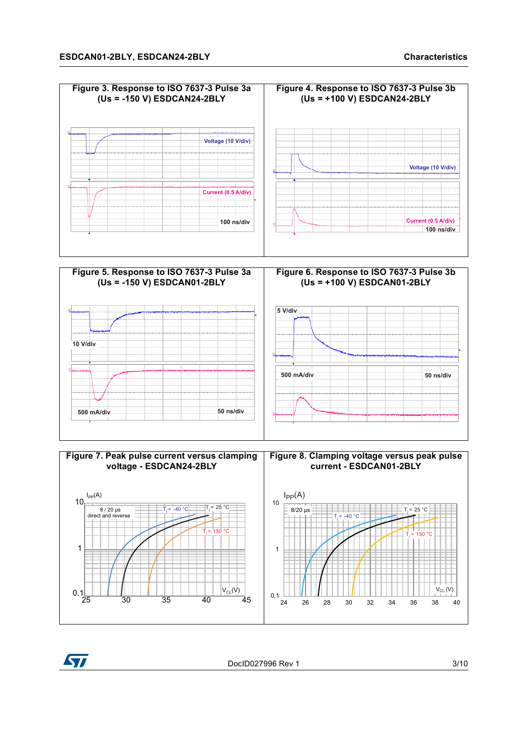







DocID027996 Rev 1 3/10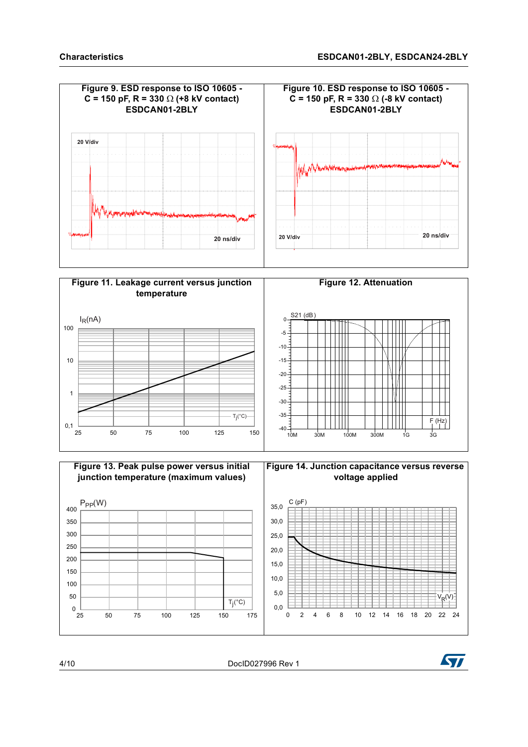





4/10 DocID027996 Rev 1

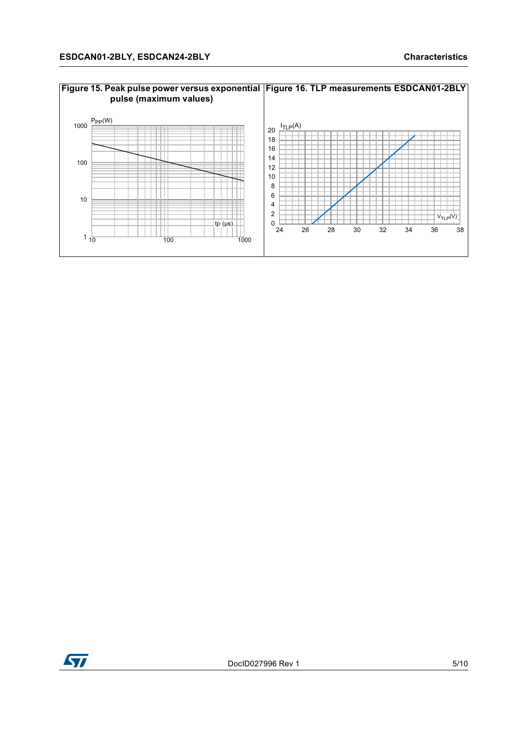

# **Figure 15. Peak pulse power versus exponential Figure 16. TLP measurements ESDCAN01-2BLY**

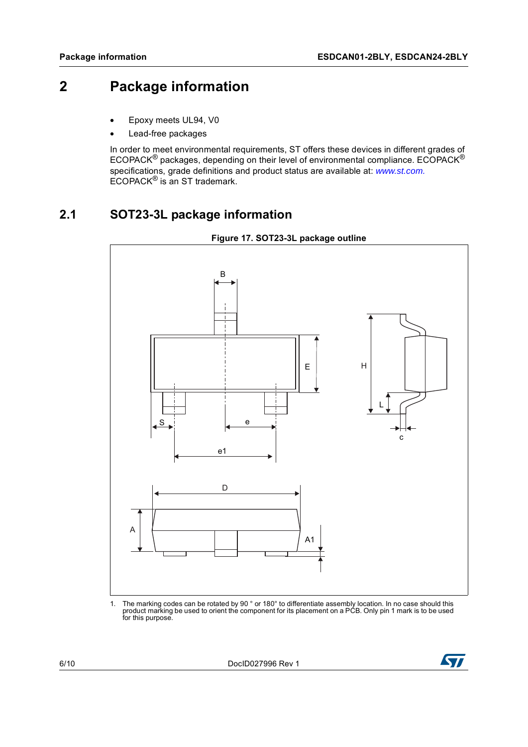# **2 Package information**

- Epoxy meets UL94, V0
- Lead-free packages

In order to meet environmental requirements, ST offers these devices in different grades of ECOPACK® packages, depending on their level of environmental compliance. ECOPACK® specifications, grade definitions and product status are available at: *[www.st.com.](http://www.st.com)* ECOPACK® is an ST trademark.

## **2.1 SOT23-3L package information**



1. The marking codes can be rotated by 90 ° or 180° to differentiate assembly location. In no case should this product marking be used to orient the component for its placement on a PCB. Only pin 1 mark is to be used for this purpose.

6/10 DocID027996 Rev 1

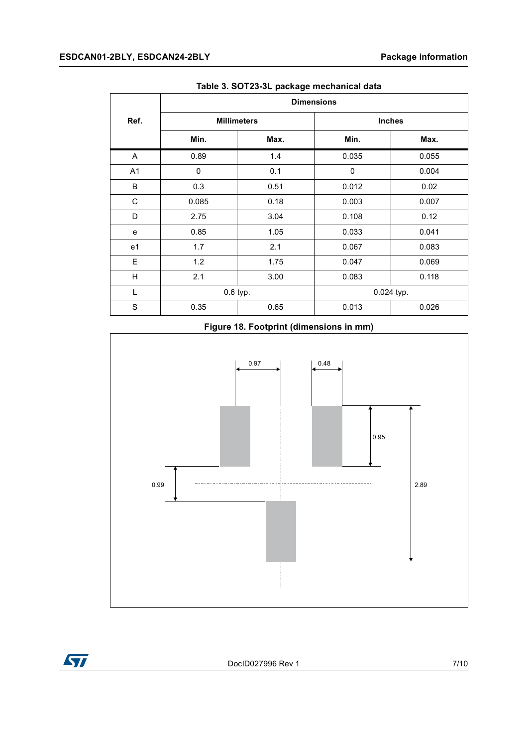|      | <b>Dimensions</b> |                    |               |       |  |  |  |  |
|------|-------------------|--------------------|---------------|-------|--|--|--|--|
| Ref. |                   | <b>Millimeters</b> | <b>Inches</b> |       |  |  |  |  |
|      | Min.              | Max.               | Min.          | Max.  |  |  |  |  |
| A    | 0.89              | 1.4                | 0.035         | 0.055 |  |  |  |  |
| A1   | $\mathbf 0$       | 0.1                | $\mathbf 0$   | 0.004 |  |  |  |  |
| B    | 0.3               | 0.51               | 0.012         | 0.02  |  |  |  |  |
| C    | 0.085             | 0.18               | 0.003         | 0.007 |  |  |  |  |
| D    | 2.75              | 3.04               | 0.108         | 0.12  |  |  |  |  |
| e    | 0.85              | 1.05               | 0.033         | 0.041 |  |  |  |  |
| e1   | 1.7               | 2.1                | 0.067         | 0.083 |  |  |  |  |
| Е    | 1.2               | 1.75               | 0.047         | 0.069 |  |  |  |  |
| н    | 2.1               | 3.00               | 0.083         | 0.118 |  |  |  |  |
| L    |                   | 0.6 typ.           | 0.024 typ.    |       |  |  |  |  |
| S    | 0.35              | 0.65               | 0.013         | 0.026 |  |  |  |  |

**Table 3. SOT23-3L package mechanical data**

#### **Figure 18. Footprint (dimensions in mm)**



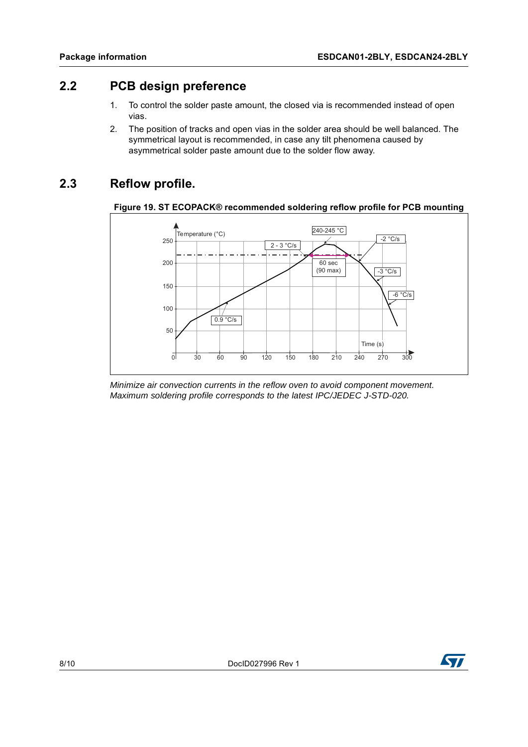### **2.2 PCB design preference**

- 1. To control the solder paste amount, the closed via is recommended instead of open vias.
- 2. The position of tracks and open vias in the solder area should be well balanced. The symmetrical layout is recommended, in case any tilt phenomena caused by asymmetrical solder paste amount due to the solder flow away.

### **2.3 Reflow profile.**





*Minimize air convection currents in the reflow oven to avoid component movement. Maximum soldering profile corresponds to the latest IPC/JEDEC J-STD-020.*

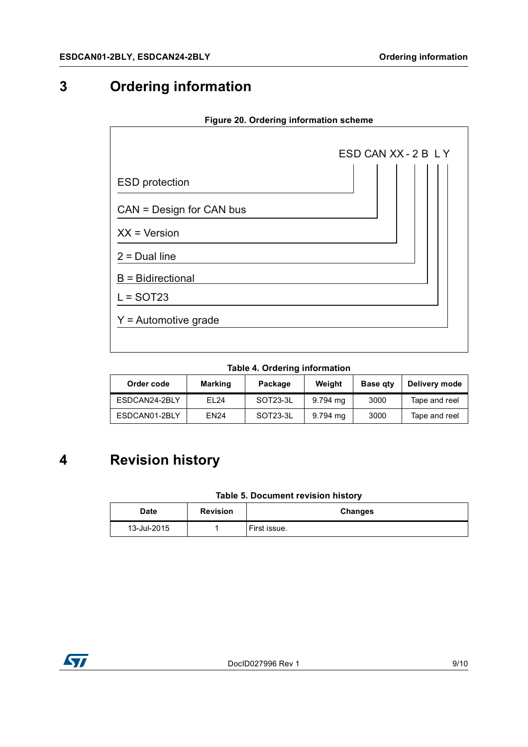# **3 Ordering information**

# ESD CAN XX - 2 B L Y ESD protection  $CAN = Design for CAN bus$  $XX = V$ ersion  $2$  = Dual line  $B =$  Bidirectional  $L =$  SOT23  $Y =$  Automotive grade

#### **Figure 20. Ordering information scheme**

#### **Table 4. Ordering information**

| Order code    | <b>Marking</b> | Package  | Weight   | <b>Base gty</b> | Delivery mode |
|---------------|----------------|----------|----------|-----------------|---------------|
| ESDCAN24-2BLY | FI 24          | SOT23-3L | 9.794 mg | 3000            | Tape and reel |
| ESDCAN01-2BLY | <b>EN24</b>    | SOT23-3L | 9.794 ma | 3000            | Tape and reel |

# **4 Revision history**

#### **Table 5. Document revision history**

| Date        | <b>Revision</b> | <b>Changes</b> |
|-------------|-----------------|----------------|
| 13-Jul-2015 |                 | First issue.   |